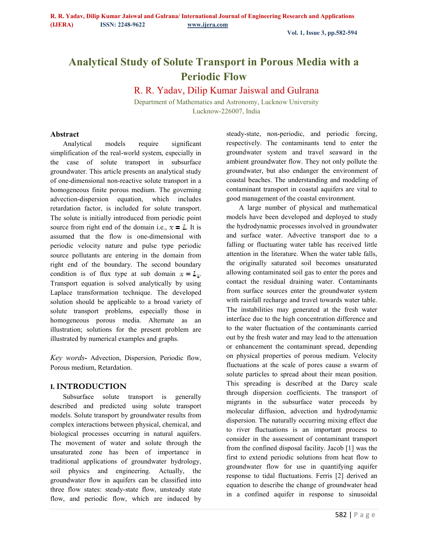# **Analytical Study of Solute Transport in Porous Media with a Periodic Flow**

## R. R. Yadav, Dilip Kumar Jaiswal and Gulrana

Department of Mathematics and Astronomy, Lucknow University Lucknow-226007, India

### **Abstract**

 Analytical models require significant simplification of the real-world system, especially in the case of solute transport in subsurface groundwater. This article presents an analytical study of one-dimensional non-reactive solute transport in a homogeneous finite porous medium. The governing advection-dispersion equation, which includes retardation factor, is included for solute transport. The solute is initially introduced from periodic point source from right end of the domain i.e.,  $x = L$ . It is assumed that the flow is one-dimensional with periodic velocity nature and pulse type periodic source pollutants are entering in the domain from right end of the boundary. The second boundary condition is of flux type at sub domain  $x = L_1$ . Transport equation is solved analytically by using Laplace transformation technique. The developed solution should be applicable to a broad variety of solute transport problems, especially those in homogeneous porous media. Alternate as an illustration; solutions for the present problem are illustrated by numerical examples and graphs.

*Key words***-** Advection, Dispersion, Periodic flow, Porous medium, Retardation.

## **I. INTRODUCTION**

 Subsurface solute transport is generally described and predicted using solute transport models. Solute transport by groundwater results from complex interactions between physical, chemical, and biological processes occurring in natural aquifers. The movement of water and solute through the unsaturated zone has been of importance in traditional applications of groundwater hydrology, soil physics and engineering. Actually, the groundwater flow in aquifers can be classified into three flow states: steady-state flow, unsteady state flow, and periodic flow, which are induced by steady-state, non-periodic, and periodic forcing, respectively. The contaminants tend to enter the groundwater system and travel seaward in the ambient groundwater flow. They not only pollute the groundwater, but also endanger the environment of coastal beaches. The understanding and modeling of contaminant transport in coastal aquifers are vital to good management of the coastal environment.

 A large number of physical and mathematical models have been developed and deployed to study the hydrodynamic processes involved in groundwater and surface water. Advective transport due to a falling or fluctuating water table has received little attention in the literature. When the water table falls, the originally saturated soil becomes unsaturated allowing contaminated soil gas to enter the pores and contact the residual draining water. Contaminants from surface sources enter the groundwater system with rainfall recharge and travel towards water table. The instabilities may generated at the fresh water interface due to the high concentration difference and to the water fluctuation of the contaminants carried out by the fresh water and may lead to the attenuation or enhancement the contaminant spread, depending on physical properties of porous medium. Velocity fluctuations at the scale of pores cause a swarm of solute particles to spread about their mean position. This spreading is described at the Darcy scale through dispersion coefficients. The transport of migrants in the subsurface water proceeds by molecular diffusion, advection and hydrodynamic dispersion. The naturally occurring mixing effect due to river fluctuations is an important process to consider in the assessment of contaminant transport from the confined disposal facility. Jacob [1] was the first to extend periodic solutions from heat flow to groundwater flow for use in quantifying aquifer response to tidal fluctuations. Ferris [2] derived an equation to describe the change of groundwater head in a confined aquifer in response to sinusoidal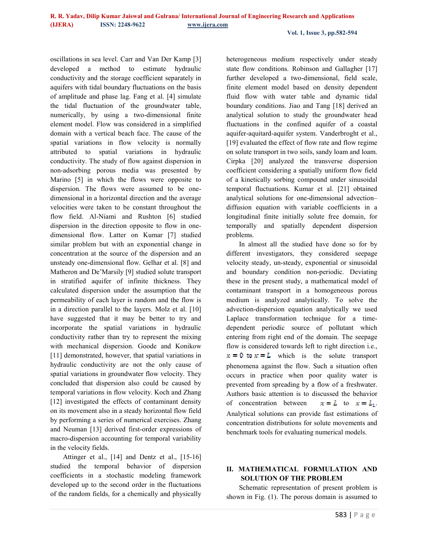oscillations in sea level. Carr and Van Der Kamp [3] developed a method to estimate hydraulic conductivity and the storage coefficient separately in aquifers with tidal boundary fluctuations on the basis of amplitude and phase lag. Fang et al. [4] simulate the tidal fluctuation of the groundwater table, numerically, by using a two-dimensional finite element model. Flow was considered in a simplified domain with a vertical beach face. The cause of the spatial variations in flow velocity is normally attributed to spatial variations in hydraulic conductivity. The study of flow against dispersion in non-adsorbing porous media was presented by Marino [5] in which the flows were opposite to dispersion. The flows were assumed to be onedimensional in a horizontal direction and the average velocities were taken to be constant throughout the flow field. Al-Niami and Rushton [6] studied dispersion in the direction opposite to flow in onedimensional flow. Latter on Kumar [7] studied similar problem but with an exponential change in concentration at the source of the dispersion and an unsteady one-dimensional flow. Gelhar et al. [8] and Matheron and De'Marsily [9] studied solute transport in stratified aquifer of infinite thickness. They calculated dispersion under the assumption that the permeability of each layer is random and the flow is in a direction parallel to the layers. Molz et al. [10] have suggested that it may be better to try and incorporate the spatial variations in hydraulic conductivity rather than try to represent the mixing with mechanical dispersion. Goode and Konikow [11] demonstrated, however, that spatial variations in hydraulic conductivity are not the only cause of spatial variations in groundwater flow velocity. They concluded that dispersion also could be caused by temporal variations in flow velocity. Koch and Zhang [12] investigated the effects of contaminant density on its movement also in a steady horizontal flow field by performing a series of numerical exercises. Zhang and Neuman [13] derived first-order expressions of macro-dispersion accounting for temporal variability in the velocity fields.

 Attinger et al., [14] and Dentz et al., [15-16] studied the temporal behavior of dispersion coefficients in a stochastic modeling framework developed up to the second order in the fluctuations of the random fields, for a chemically and physically heterogeneous medium respectively under steady state flow conditions. Robinson and Gallagher [17] further developed a two-dimensional, field scale, finite element model based on density dependent fluid flow with water table and dynamic tidal boundary conditions. Jiao and Tang [18] derived an analytical solution to study the groundwater head fluctuations in the confined aquifer of a coastal aquifer-aquitard-aquifer system. Vanderbroght et al., [19] evaluated the effect of flow rate and flow regime on solute transport in two soils, sandy loam and loam. Cirpka [20] analyzed the transverse dispersion coefficient considering a spatially uniform flow field of a kinetically sorbing compound under sinusoidal temporal fluctuations. Kumar et al. [21] obtained analytical solutions for one-dimensional advection– diffusion equation with variable coefficients in a longitudinal finite initially solute free domain, for temporally and spatially dependent dispersion problems.

 In almost all the studied have done so for by different investigators, they considered seepage velocity steady, un-steady, exponential or sinusoidal and boundary condition non-periodic. Deviating these in the present study, a mathematical model of contaminant transport in a homogeneous porous medium is analyzed analytically. To solve the advection-dispersion equation analytically we used Laplace transformation technique for a timedependent periodic source of pollutant which entering from right end of the domain. The seepage flow is considered towards left to right direction i.e.,  $x = 0$  to  $x = L$  which is the solute transport phenomena against the flow. Such a situation often occurs in practice when poor quality water is prevented from spreading by a flow of a freshwater. Authors basic attention is to discussed the behavior of concentration between  $x = L$  to  $x = L_1$ . Analytical solutions can provide fast estimations of concentration distributions for solute movements and benchmark tools for evaluating numerical models.

## **II. MATHEMATICAL FORMULATION AND SOLUTION OF THE PROBLEM**

 Schematic representation of present problem is shown in Fig. (1). The porous domain is assumed to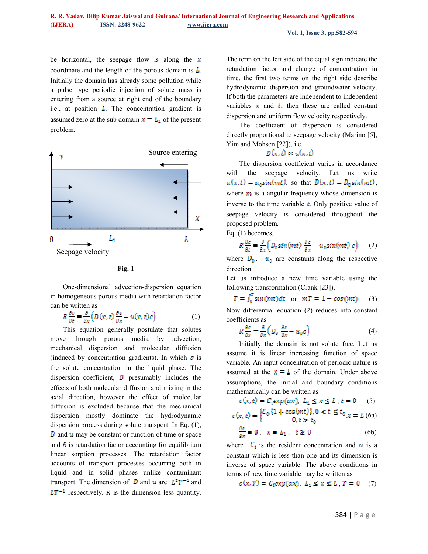be horizontal, the seepage flow is along the  $x$ coordinate and the length of the porous domain is  $L$ . Initially the domain has already some pollution while a pulse type periodic injection of solute mass is entering from a source at right end of the boundary i.e., at position  $\bf{L}$ . The concentration gradient is assumed zero at the sub domain  $x = L_1$  of the present problem.





 One-dimensional advection-dispersion equation in homogeneous porous media with retardation factor can be written as

$$
R\frac{\partial c}{\partial t} = \frac{\partial}{\partial x} \Big( D(x, t) \frac{\partial c}{\partial x} - u(x, t)c \Big)
$$
 (1)

 This equation generally postulate that solutes move through porous media by advection, mechanical dispersion and molecular diffusion (induced by concentration gradients). In which  $\epsilon$  is the solute concentration in the liquid phase. The dispersion coefficient,  $\boldsymbol{D}$  presumably includes the effects of both molecular diffusion and mixing in the axial direction, however the effect of molecular diffusion is excluded because that the mechanical dispersion mostly dominate the hydrodynamic dispersion process during solute transport. In Eq. (1),  $\bf{D}$  and  $\bf{u}$  may be constant or function of time or space and *R* is retardation factor accounting for equilibrium linear sorption processes*.* The retardation factor accounts of transport processes occurring both in liquid and in solid phases unlike contaminant transport. The dimension of D and u are  $L^2T^{-1}$  and  $LT^{-1}$  respectively. *R* is the dimension less quantity.

The term on the left side of the equal sign indicate the retardation factor and change of concentration in time, the first two terms on the right side describe hydrodynamic dispersion and groundwater velocity. If both the parameters are independent to independent variables  $x$  and  $t$ , then these are called constant dispersion and uniform flow velocity respectively.

The coefficient of dispersion is considered directly proportional to seepage velocity (Marino [5], Yim and Mohsen [22]), i.e.

### $D(x,t) \propto u(x,t)$

The dispersion coefficient varies in accordance with the seepage velocity. Let us write  $u(x, t) = u_0 \sin(mt)$ , so that  $D(x, t) = D_0 \sin(mt)$ , where  $\boldsymbol{m}$  is a angular frequency whose dimension is inverse to the time variable  $\boldsymbol{\tau}$ . Only positive value of seepage velocity is considered throughout the proposed problem.

Eq. (1) becomes,

$$
R\frac{\partial c}{\partial t} = \frac{\partial}{\partial x} \Big( D_0 \sin(mt) \frac{\partial c}{\partial x} - u_0 \sin(mt) c \Big) \qquad (2)
$$

where  $D_0$ ,  $u_0$  are constants along the respective direction.

Let us introduce a new time variable using the following transformation (Crank [23]),

$$
T = \int_0^1 \sin(mt) dt \quad \text{or} \quad mT = 1 - \cos(mt) \tag{3}
$$

Now differential equation (2) reduces into constant coefficients as

$$
R\frac{\partial c}{\partial T} = \frac{\partial}{\partial x} \left( D_0 \frac{\partial c}{\partial x} - u_0 c \right) \tag{4}
$$

 Initially the domain is not solute free. Let us assume it is linear increasing function of space variable. An input concentration of periodic nature is assumed at the  $x = L$  of the domain. Under above assumptions, the initial and boundary conditions mathematically can be written as

$$
c(x, t) = C_1 \exp(\alpha x), \ L_1 \le x \le L, \ t = 0 \quad (5)
$$

$$
c(x, t) = \begin{cases} C_0 \{1 + \cos(mt)\}, 0 < t \le t_0, \\ 0, t > t_0 \end{cases} \quad L \ (6a)
$$

$$
\frac{\partial c}{\partial x} = \mathbf{0}, \quad x = L_1, \quad t \ge 0 \tag{6b}
$$

where  $\mathcal{L}_i$  is the resident concentration and  $\alpha$  is a constant which is less than one and its dimension is inverse of space variable. The above conditions in terms of new time variable may be written as

$$
c(x,T) = C_i \exp(\alpha x), L_1 \le x \le L, T = 0 \quad (7)
$$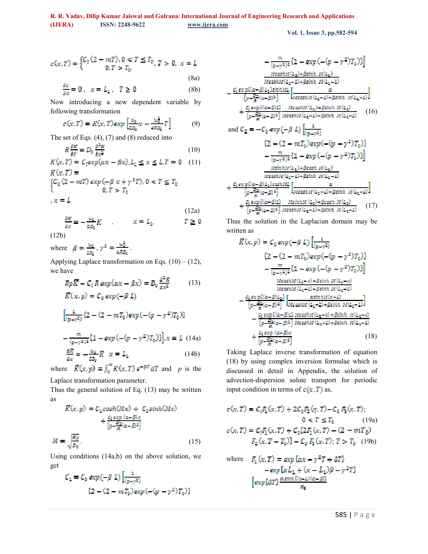$$
c(x,T) = \begin{cases} C_0 (2 - mT), 0 < T \le T_0, \ T > 0, \ x = L \\ 0, T > T_0 \end{cases} \tag{8a}
$$

$$
\frac{\partial c}{\partial x} = 0, \quad x = L_1, \quad T \ge 0 \tag{8b}
$$

Now introducing a new dependent variable by following transformation

$$
c(x,T) = K(x,T) \exp\left[\frac{u_0}{2D_0}x - \frac{u_0^2}{4BD_0}T\right]
$$
(9)

The set of Eqs. (4), (7) and (8) reduced into

$$
R\frac{\partial \kappa}{\partial r} = D_0 \frac{\partial^2 \kappa}{\partial x^2}
$$
 (10)

$$
K(x, T) = C_1 \exp(\alpha x - \beta x), L_1 \le x \le L, T = 0 \quad (11)
$$
  

$$
K(x, T) =
$$

$$
\begin{cases} C_0 (2 - mT) \exp(-\beta x + \gamma^2 T), 0 < T \le T_0 \\ 0, T > T_0 \end{cases}
$$
\n
$$
x = L
$$

$$
\frac{\partial x}{\partial x} = -\frac{u_0}{2v_0}K \qquad , \qquad x = L_1, \qquad T \ge 0
$$

(12b)

where  $\beta = \frac{u_0}{z_{D_0}}$ ,  $\gamma^2 = \frac{u_0^2}{4R D_0}$ .

Applying Laplace transformation on Eqs.  $(10) - (12)$ , we have

$$
Rp\overline{K} - C_i R \exp(\alpha x - \beta x) = D_0 \frac{d^2 R}{dx^2}
$$
 (13)  

$$
\overline{K}(x, p) = C_0 \exp(-\beta L)
$$

$$
\left[\frac{1}{(p-\gamma^2)}\left\{2 - (2 - mT_0)\exp\left(-\left(p-\gamma^2\right)T_0\right)\right\}\right]
$$

$$
-\frac{m}{(p-\gamma^2)^2}\left\{1 - \exp\left(-\left(p-\gamma^2\right)T_0\right)\right\}\right], x = L \quad (14a)
$$

$$
\frac{dR}{dt} = -\frac{u_0}{dt}R \quad x = L_1 \quad (14b)
$$

where  $\overline{K}(x, p) = \int_0^{\infty} K(x, T) e^{-pT} dT$  and p is the

Laplace transformation parameter.

Thus the general solution of Eq. (13) may be written as

$$
K(x, p) = C_1 \cosh(Mx) + C_2 \sinh(Mx)
$$

$$
+ \frac{C_1 \exp{(\alpha - \beta)x}}{\left\{p - \frac{p_0}{R} (\alpha - \beta)^2\right\}}
$$

$$
M = \sqrt{\frac{\overline{R}p}{\overline{D}q}}.
$$
(15)

Using conditions (14a,b) on the above solution, we get

$$
C_1 = C_0 \exp(-\beta L) \left[ \frac{1}{(y - y^2)} \right]
$$
  
{2 - (2 - mT\_0) \exp(- (y - y^2)T\_0)}

$$
-\frac{m}{(p-\gamma^2)^2} \{1 - exp(- (p - \gamma^2) T_0) \} ]
$$
\n
$$
\frac{Mcosh M(t_1) + \beta sinh M(t_1)}{Mcosh M(t_1 - L) + \beta sinh M(t_1 - L)}
$$
\n
$$
-\frac{C_1 exp((\alpha - \beta) L_1) sinh Mt}{(\beta - \frac{D_0}{R} (\alpha - \beta)^2)} \left[ \frac{\alpha}{Mcosh M(t_1 - L) + \beta sinh M(t_1 - L)} \right]
$$
\n
$$
+\frac{C_1 exp((\alpha - \beta) L_1) - Mcosh M(t_1) + \beta sinh M(t_1 - L)}{(\beta - \frac{D_0}{R} (\alpha - \beta)^2)} \frac{Mcosh M(t_1 - L) + \beta sinh M(t_1 - L)}{Mcosh M(t_1 - L) + \beta sinh M(t_1 - L)}
$$
\n(16)\nand\n
$$
C_2 = -C_0 exp(-\beta L) \left[ \frac{1}{(g - \gamma^2)}
$$
\n
$$
\{2 - (2 - mT_0) exp(- (p - \gamma^2) T_0) \} - \frac{m}{(p - \gamma^2)^2} \{1 - exp(- (p - \gamma^2) T_0) \} \right]
$$
\n
$$
\frac{Msinh M(t_1) + \beta cosh M(t_1 - L)}{Mcosh M(t_1 - L) + \beta sinh M(t_1 - L)}
$$
\n+
$$
\frac{C_1 exp((\alpha - \beta) L_1) cosh Mt}{(\beta - \frac{D_0}{R} (\alpha - \beta)^2)} \left[ \frac{Msinh M(t_1) + \beta cosh M(t_1 - L)}{Mcosh M(t_1 - L) + \beta sinh M(t_1 - L)}
$$
 (17)\n+
$$
\frac{C_1 exp((\alpha - \beta) L_1^2) - Mcosh M(t_1 - L) + \beta sinh M(t_1 - L)}{(\beta - \frac{D_0}{R} (\alpha - \beta)^2)} \frac{Msinh M(t_1) + \beta cosh M(t_1 - L)}{Mcosh M(t_1 - L) + \beta sinh M(t_1 - L)}
$$
\n(17)

Thus the solution in the Laplacian domain may be written as

$$
\overline{K}(x, p) = C_0 \exp(-\beta L) \left[ \frac{1}{(p - p^2)} \right]
$$
  
\n
$$
\{2 - (2 - mT_0) \exp(- (p - p^2)T_0) \}
$$
  
\n
$$
- \frac{m}{(p - p^2)^2} \{1 - \exp(- (p - p^2)T_0) \}
$$
  
\n
$$
\frac{M \cosh M (L_1 - x) + \beta \sinh M (L_1 - x)}{M \cosh M (L_1 - x) + \beta \sinh M (L_1 - x)}
$$
  
\n
$$
- \frac{C_1 \exp((\alpha - \beta)L_1)}{(\beta - \frac{D_0}{\beta} (\alpha - \beta)^2)} \left[ \frac{\alpha \sinh M (x - L)}{M \cosh M (L_1 - L) + \beta \sinh M (L_1 - x)} \right]
$$
  
\n
$$
- \frac{C_1 \exp((\alpha - \beta)L_1)}{(\beta - \frac{D_0}{\beta} (\alpha - \beta)^2)} \frac{M \cosh M (L_1 - x) + \beta \sinh M (L_1 - x)}{M \cosh M (L_1 - L) + \beta \sinh M (L_1 - x)}
$$
  
\n+  $\frac{C_1 \exp(-\alpha - \beta)x}{(\beta - \frac{D_0}{\beta} (\alpha - \beta)^2)}$  (18)

Taking Laplace inverse transformation of equation (18) by using complex inversion formulae which is discussed in detail in Appendix, the solution of advection-dispersion solute transport for periodic input condition in terms of  $c(x, T)$  as,

$$
c(x, T) = C_{\ell}F_{1}(x, T) + 2C_{0}F_{2}(\eta, T) - C_{0}F_{3}(x, T);
$$
  
\n
$$
0 < T \leq T_{0} \tag{19a}
$$
  
\n
$$
c(x, T) = C_{\ell}F_{1}(x, T) + C_{0}[2F_{2}(x, T) - (2 - mT_{0})]
$$
  
\n
$$
F_{2}(x, T - T_{0})] - C_{0}F_{3}(x, T); T > T_{0} \tag{19b}
$$

where 
$$
F_1(x, T) = exp {ax - y^2T + \delta T}
$$
  
\n $- exp {aL_1 + (x - L_1)\beta - y^2T}$   
\n $\left[ exp {\delta T} \frac{axinh ((x - L)(x - \beta))}{R_6} \right]$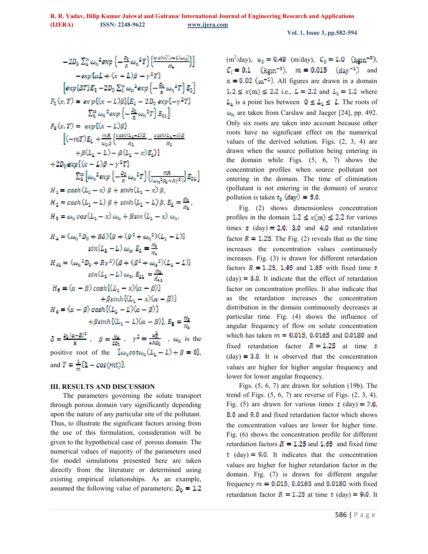$$
-2D_0 \sum_{i=1}^{\infty} \omega_{n}^{2} exp \left\{-\frac{p_0}{n} \omega_{n}^{2} T\right\} \left\{\frac{\alpha \sin((x-1)\omega_{n})}{n_4}\right\}
$$
  
\n
$$
-exp\{\alpha L + (x-L)\beta - \gamma^{2} T\}
$$
  
\n
$$
\left[ exp\{\delta T\} E_2 - 2D_0 \sum_{i=1}^{\infty} \omega_{n}^{2} exp\left\{-\frac{p_0}{n} \omega_{n}^{2} T\right\} E_2\right]
$$
  
\n
$$
P_2(x,T) = exp\left\{(x-L)\beta\} [E_1 - 2D_0 exp\{-\gamma^{2} T\}
$$
  
\n
$$
\sum_{i=1}^{\infty} \omega_{n}^{2} exp\left\{-\frac{p_0}{n} \omega_{n}^{2} T\right\} E_{21}\right]
$$
  
\n
$$
F_3(x,T) = exp\{(x-L)\beta\}
$$
  
\n
$$
\left[(-mT) E_1 + \frac{mE}{n_0 \beta} \left\{\frac{\cosh(t_1-L)\beta}{n_2} - \frac{\cosh(t_1-L)\beta}{n_2} + \beta(t_1-L) - \beta(t_1-L) E_1\right\}\right]
$$
  
\n
$$
+ \beta(t_1-L) - \beta(t_1-L)x_{1}\}
$$
  
\n
$$
+ 2D_0 exp\{(x-L)\beta - \gamma^{2} T\}
$$
  
\n
$$
\sum_{i=1}^{\infty} \left[\omega_{n}^{2} exp\{-\frac{p_0}{n} \omega_{n}^{2} T\}\left\{\frac{mE}{(\omega_{n}^{2} p_0 + R)^{2}}\right\} E_{21}\right]
$$
  
\n
$$
H_1 = cosh(t_1 - x) \beta + sinh(t_1 - x) \beta,
$$
  
\n
$$
H_2 = cosh(t_1 - x) \beta + sinh(t_1 - L)\beta, E_1 = \frac{R_1}{n_2},
$$
  
\n
$$
H_3 = \omega_n cos(t_1 - x) \omega_n + \beta sin(t_1 - x) \omega_n,
$$
  
\n
$$
H_4 = (\omega_n^{2} D_0 + R\delta)\{\beta + (\beta^{2} + \omega_n^{2})(L_1 -
$$

#### **III. RESULTS AND DISCUSSION**

 The parameters governing the solute transport through porous domain vary significantly depending upon the nature of any particular site of the pollutant. Thus, to illustrate the significant factors arising from the use of this formulation, consideration will be given to the hypothetical case of porous domain. The numerical values of majority of the parameters used for model simulations presented here are taken directly from the literature or determined using existing empirical relationships. As an example, assumed the following value of parameters;  $D_0 = 1.2$ 

 $(m^2/\text{day})$ ,  $u_0 = 0.48$  (m/day),  $C_0 = 1.0$  (kgm<sup>-3</sup>),  $C_{\tilde{t}} = 0.1$  (kgm<sup>-2</sup>),  $m = 0.015$  (day<sup>-1</sup>) and  $\alpha = 0.02$  (m<sup>-1</sup>). All figures are drawn in a domain  $1.2 \le x(m) \le 2.2$  i.e.,  $L = 2.2$  and  $L_1 = 1.2$  where  $L_1$  is a point lies between  $0 \le L_1 \le L$ . The roots of  $\omega_{\rm m}$  are taken from Carslaw and Jaeger [24], pp. 492. Only six roots are taken into account because other roots have no significant effect on the numerical values of the derived solution. Figs. (2, 3, 4) are drawn when the source pollution being entering in the domain while Figs. (5, 6, 7) shows the concentration profiles when source pollutant not entering in the domain. The time of elimination (pollutant is not entering in the domain) of source pollution is taken  $t_0$  (day) = 5.0.

 Fig. (2) shows dimensionless concentration profiles in the domain  $1.2 \le x(m) \le 2.2$  for various times  $\dot{\tau}$  (day) = 2.0, 3.0 and 4.0 and retardation factor  $\mathbf{R} = 1.25$ . The Fig. (2) reveals that as the time increases the concentration values continuously increases. Fig. (3) is drawn for different retardation factors  $R = 1.25$ , 1.45 and 1.65 with fixed time t  $(\text{day}) = 3.0$ . It indicate that the effect of retardation factor on concentration profiles. It also indicate that as the retardation increases the concentration distribution in the domain continuously decreases at particular time. Fig. (4) shows the influence of angular frequency of flow on solute concentration which has taken  $m = 0.015$ , 0.0165 and 0.0180 and fixed retardation factor  $R = 1.25$  at time t  $(\text{day}) = 3.0$ . It is observed that the concentration values are higher for higher angular frequency and lower for lower angular frequency.

 Figs. (5, 6, 7) are drawn for solution (19b). The trend of Figs.  $(5, 6, 7)$  are reverse of Figs.  $(2, 3, 4)$ . Fig. (5) are drawn for various times  $t$  (day) = 7.0, 8.0 and 9.0 and fixed retardation factor which shows the concentration values are lower for higher time. Fig. (6) shows the concentration profile for different retardation factors  $\mathbf{R} = 1.25$  and 1.65 and fixed time  $\hat{t}$  (day) = 9.0. It indicates that the concentration values are higher for higher retardation factor in the domain. Fig. (7) is drawn for different angular frequency  $m = 0.015$ , 0.0165 and 0.0180 with fixed retardation factor  $\mathbb{R} = 1.25$  at time  $\dot{\tau}$  (day) = 9.0. It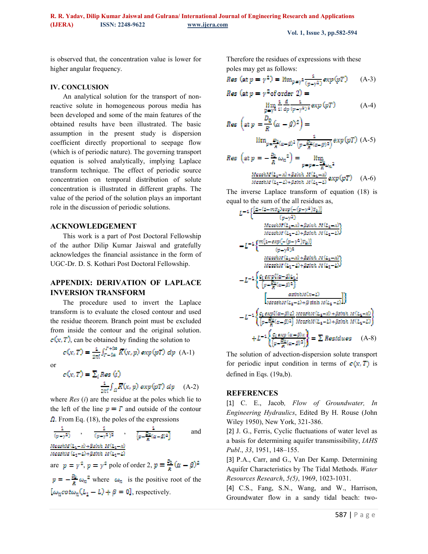is observed that, the concentration value is lower for higher angular frequency.

#### **IV. CONCLUSION**

 An analytical solution for the transport of nonreactive solute in homogeneous porous media has been developed and some of the main features of the obtained results have been illustrated. The basic assumption in the present study is dispersion coefficient directly proportional to seepage flow (which is of periodic nature). The governing transport equation is solved analytically, implying Laplace transform technique. The effect of periodic source concentration on temporal distribution of solute concentration is illustrated in different graphs. The value of the period of the solution plays an important role in the discussion of periodic solutions.

#### **ACKNOWLEDGEMENT**

 This work is a part of Post Doctoral Fellowship of the author Dilip Kumar Jaiswal and gratefully acknowledges the financial assistance in the form of UGC-Dr. D. S. Kothari Post Doctoral Fellowship.

## **APPENDIX: DERIVATION OF LAPLACE INVERSION TRANSFORM**

 The procedure used to invert the Laplace transform is to evaluate the closed contour and used the residue theorem. Branch point must be excluded from inside the contour and the original solution.  $\epsilon(x, T)$ , can be obtained by finding the solution to

 $c(x,T)=\frac{1}{\pi\pi i}\int_{T-i\infty}^{T+i\infty} \overline{K}(x,p)\exp(pT)\ dp\ \ (\text{A-1})$ 

or

$$
c(x,T) = \sum_{i} Res(i)
$$

$$
\frac{1}{2\pi i} \int_{\Omega} \overline{K}(x, p) \exp(pT) \, dp \quad (A-2)
$$

where *Res* (*i*) are the residue at the poles which lie to the left of the line  $p = \Gamma$  and outside of the contour  $\Omega$ . From Eq. (18), the poles of the expressions

$$
\frac{1}{(p-\gamma^2)}, \quad \frac{1}{(p-\gamma^2)^2}, \quad \frac{1}{\left[p-\frac{p_0}{R}(\alpha-\beta)^2\right]}
$$
 and  
  
*NecashM* ( $t_1 - x$ ) +  $\beta$ sinh *M* ( $t_1 - x$ )  
*NecashM* ( $t_1 - L$ ) +  $\beta$ sinh *M* ( $t_1 - x$ )  
are  $p = \gamma^2$ ,  $p = \gamma^2$  pole of order 2,  $p = \frac{p_0}{R} (\alpha - \beta)^2$   
 $p = -\frac{p_0}{R} \omega_n^2$  where  $\omega_n$  is the positive root of the

 $[\omega_n \cot \omega_n (L_1 - L) + \beta = 0]$ , respectively.

Therefore the residues of expressions with these

## poles may get as follows:<br> *Res* (at  $p = \gamma^2$ ) =  $\lim_{p \to \gamma^2} \frac{1}{(p - \gamma^2)} exp(pT)$  $(A-3)$

$$
Hes \text{ (at } p = \gamma^2 \text{ of order } 2) =
$$
  

$$
\lim_{p = \gamma^2} \frac{1}{1!} \frac{d}{dp} \frac{1}{(p - \gamma^2)^2} exp(pT)
$$
 (A-4)

$$
Res\left(\text{at } p = \frac{D_0}{R} \left( \alpha - \beta \right)^2 \right) =
$$
\n
$$
lim_{p = \frac{D_0}{R} \left( \alpha - \beta \right)^2} \frac{1}{\left( p - \frac{D_0}{R} \left( \alpha - \beta \right)^2 \right)} exp(pT) \text{ (A-5)}
$$

$$
Res \left(\text{at } p = -\frac{p_0}{B} \omega_n^2\right) = \lim_{\substack{p = p = -\frac{p_0}{B} \omega_n^2\\ \text{Meash } M(L_1 - x) + \beta \sinh M(L_1 - x)}} \frac{M \cosh M(L_1 - x) + \beta \sinh M(L_1 - x)}{M \cosh M(L_1 - x) + \beta \sinh M(L_1 - x)} \exp\left(pT\right) \tag{A-6}
$$

The inverse Laplace transform of equation (18) is equal to the sum of the all residues as,

$$
L^{-1}\left\{\frac{(2-(2-mT_0)exp(-(p-\gamma^2)T_0))}{(p-\gamma^2)}\right\}
$$
\n
$$
\frac{MeanM(L_1-\nu)+AgainM(L_1-\nu)}{MeanM(L_1-\nu)+AgainM(L_1-\nu)}
$$
\n
$$
-L^{-1}\left\{\frac{m(1-sxy(-(p-\gamma^2)T_0))}{(p-\gamma^2)^2}\right\}
$$
\n
$$
\frac{MeanM(L_1-\nu)+AgainM(L_1-\nu)}{MeanM(L_1-\nu)+AgainM(L_1-\nu)}
$$
\n
$$
-L^{-1}\left\{\frac{c_1 \exp((\alpha-\beta)L_1)}{(p-\frac{D\alpha}{\beta}(\alpha-\beta)^2)}\right\}
$$
\n
$$
\left[\frac{axinhM(\alpha-1)}{meanM(L_1-\nu)+\beta\sinh M(L_1-\nu)}\right]\right\}
$$
\n
$$
-L^{-1}\left\{\frac{c_1 \exp((\alpha-\beta)L)}{(p-\frac{D\alpha}{\beta}(\alpha-\beta)^2)}\frac{MeoshM(L_1-\nu)+\beta\sinh M(L_1-\nu)}{MeanM(L_1-\nu)+\beta\sinh M(L_1-\nu)}\right\}
$$
\n
$$
+L^{-1}\left\{\frac{c_1 \exp((\alpha-\beta)x)}{(p-\frac{D\alpha}{\beta}(\alpha-\beta)^2)}\right\} = \sum Residues \quad (A-8)
$$

The solution of advection-dispersion solute transport for periodic input condition in terms of  $c(x,T)$  is defined in Eqs. (19a,b).

#### **REFERENCES**

[1] C. E., Jacob*, Flow of Groundwater, In Engineering Hydraulics*, Edited By H. Rouse (John Wiley 1950), New York, 321-386.

[2] J. G., Ferris, Cyclic fluctuations of water level as a basis for determining aquifer transmissibility, *IAHS Publ*., *33*, 1951, 148–155.

[3] P.A., Carr, and G., Van Der Kamp. Determining Aquifer Characteristics by The Tidal Methods. *Water Resources Research*, *5(5)*, 1969, 1023-1031.

[4] C.S., Fang, S.N., Wang, and W., Harrison, Groundwater flow in a sandy tidal beach: two-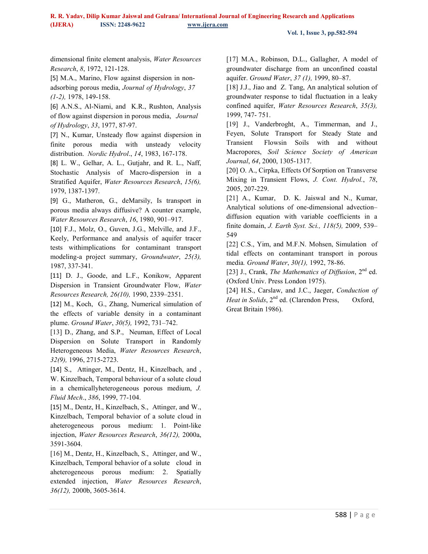dimensional finite element analysis, *Water Resources Research*, *8*, 1972, 121-128.

[5] M.A., Marino, Flow against dispersion in nonadsorbing porous media, *Journal of Hydrology*, *37 (1-2),* 1978, 149-158.

[6] A.N.S., Al-Niami, and K.R., Rushton, Analysis of flow against dispersion in porous media, *Journal of Hydrology*, *33*, 1977, 87-97.

[7] N., Kumar, Unsteady flow against dispersion in finite porous media with unsteady velocity distribution. *Nordic Hydrol*., *14*, 1983, 167-178.

[8] L. W., Gelhar, A. L., Gutjahr, and R. L., Naff, Stochastic Analysis of Macro-dispersion in a Stratified Aquifer, *Water Resources Research*, *15(6),* 1979, 1387-1397.

[9] G., Matheron, G., deMarsily, Is transport in porous media always diffusive? A counter example, *Water Resources Research*, *16*, 1980, 901–917.

[10] F.J., Molz, O., Guven, J.G., Melville, and J.F., Keely, Performance and analysis of aquifer tracer tests withimplications for contaminant transport modeling-a project summary, *Groundwater*, *25(3),* 1987, 337-341.

[11] D. J., Goode, and L.F., Konikow, Apparent Dispersion in Transient Groundwater Flow, *Water Resources Research, 26(10),* 1990, 2339–2351.

[12] M., Koch, G., Zhang, Numerical simulation of the effects of variable density in a contaminant plume. *Ground Water*, *30(5),* 1992, 731–742.

[13] D., Zhang, and S.P., Neuman, Effect of Local Dispersion on Solute Transport in Randomly Heterogeneous Media, *Water Resources Research*, *32(9),* 1996, 2715-2723.

[14] S., Attinger, M., Dentz, H., Kinzelbach, and , W. Kinzelbach, Temporal behaviour of a solute cloud in a chemicallyheterogeneous porous medium, *J. Fluid Mech*., *386*, 1999, 77-104.

[15] M., Dentz, H., Kinzelbach, S., Attinger, and W., Kinzelbach, Temporal behavior of a solute cloud in aheterogeneous porous medium: 1. Point-like injection, *Water Resources Research*, *36(12),* 2000a, 3591-3604.

[16] M., Dentz, H., Kinzelbach, S., Attinger, and W., Kinzelbach, Temporal behavior of a solute cloud in aheterogeneous porous medium: 2. Spatially extended injection, *Water Resources Research*, *36(12),* 2000b, 3605-3614.

[17] M.A., Robinson, D.L., Gallagher, A model of groundwater discharge from an unconfined coastal aquifer. *Ground Water*, *37 (1),* 1999, 80–87.

[18] J.J., Jiao and Z. Tang, An analytical solution of groundwater response to tidal fluctuation in a leaky confined aquifer, *Water Resources Research*, *35(3),* 1999, 747- 751.

[19] J., Vanderbroght, A., Timmerman, and J., Feyen, Solute Transport for Steady State and Transient Flowsin Soils with and without Macropores, *Soil Science Society of American Journal*, *64*, 2000, 1305-1317.

[20] O. A., Cirpka, Effects Of Sorption on Transverse Mixing in Transient Flows, *J. Cont. Hydrol.*, *78*, 2005, 207-229.

[21] A., Kumar, D. K. Jaiswal and N., Kumar, Analytical solutions of one-dimensional advection– diffusion equation with variable coefficients in a finite domain, *J. Earth Syst. Sci., 118(5),* 2009, 539– 549

[22] C.S., Yim, and M.F.N. Mohsen, Simulation of tidal effects on contaminant transport in porous media*. Ground Water*, *30(1),* 1992, 78-86.

[23] J., Crank, *The Mathematics of Diffusion*, 2<sup>nd</sup> ed. (Oxford Univ. Press London 1975).

[24] H.S., Carslaw, and J.C., Jaeger, *Conduction of Heat in Solids*, 2<sup>nd</sup> ed. (Clarendon Press, Oxford, Great Britain 1986).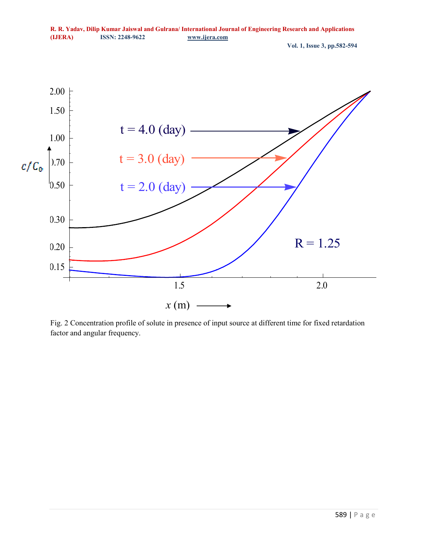

Fig. 2 Concentration profile of solute in presence of input source at different time for fixed retardation factor and angular frequency.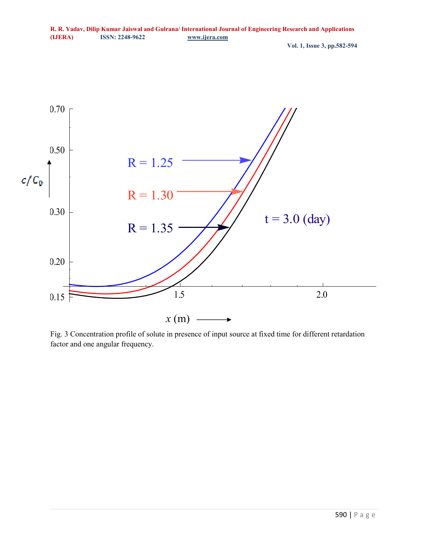

Fig. 3 Concentration profile of solute in presence of input source at fixed time for different retardation factor and one angular frequency.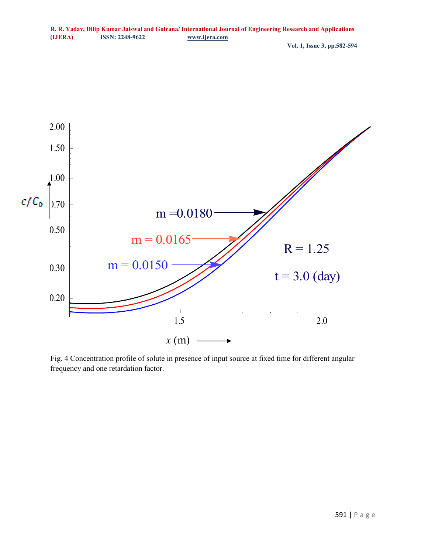

Fig. 4 Concentration profile of solute in presence of input source at fixed time for different angular frequency and one retardation factor.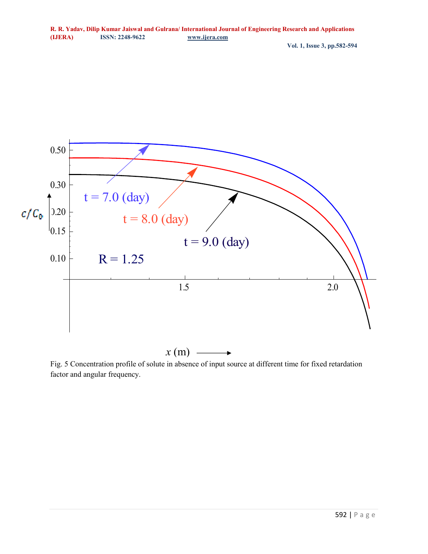

Fig. 5 Concentration profile of solute in absence of input source at different time for fixed retardation factor and angular frequency.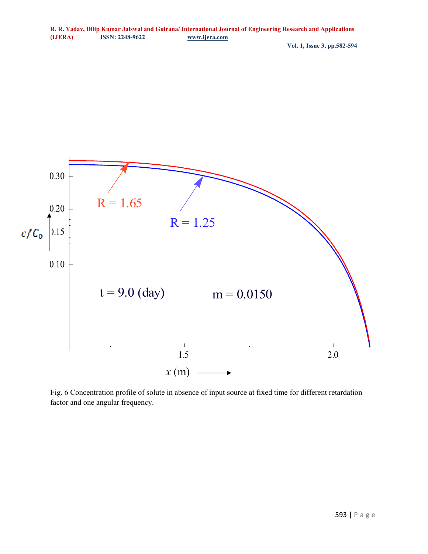

Fig. 6 Concentration profile of solute in absence of input source at fixed time for different retardation factor and one angular frequency.